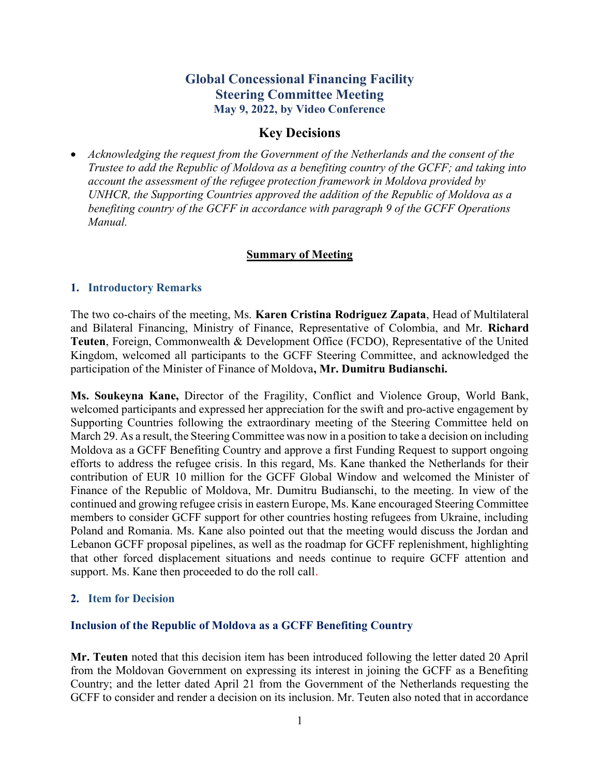# Global Concessional Financing Facility Steering Committee Meeting May 9, 2022, by Video Conference

# Key Decisions

 Acknowledging the request from the Government of the Netherlands and the consent of the Trustee to add the Republic of Moldova as a benefiting country of the GCFF; and taking into account the assessment of the refugee protection framework in Moldova provided by UNHCR, the Supporting Countries approved the addition of the Republic of Moldova as a benefiting country of the GCFF in accordance with paragraph 9 of the GCFF Operations Manual.

#### Summary of Meeting

#### 1. Introductory Remarks

The two co-chairs of the meeting, Ms. Karen Cristina Rodriguez Zapata, Head of Multilateral and Bilateral Financing, Ministry of Finance, Representative of Colombia, and Mr. Richard Teuten, Foreign, Commonwealth & Development Office (FCDO), Representative of the United Kingdom, welcomed all participants to the GCFF Steering Committee, and acknowledged the participation of the Minister of Finance of Moldova, Mr. Dumitru Budianschi.

Ms. Soukeyna Kane, Director of the Fragility, Conflict and Violence Group, World Bank, welcomed participants and expressed her appreciation for the swift and pro-active engagement by Supporting Countries following the extraordinary meeting of the Steering Committee held on March 29. As a result, the Steering Committee was now in a position to take a decision on including Moldova as a GCFF Benefiting Country and approve a first Funding Request to support ongoing efforts to address the refugee crisis. In this regard, Ms. Kane thanked the Netherlands for their contribution of EUR 10 million for the GCFF Global Window and welcomed the Minister of Finance of the Republic of Moldova, Mr. Dumitru Budianschi, to the meeting. In view of the continued and growing refugee crisis in eastern Europe, Ms. Kane encouraged Steering Committee members to consider GCFF support for other countries hosting refugees from Ukraine, including Poland and Romania. Ms. Kane also pointed out that the meeting would discuss the Jordan and Lebanon GCFF proposal pipelines, as well as the roadmap for GCFF replenishment, highlighting that other forced displacement situations and needs continue to require GCFF attention and support. Ms. Kane then proceeded to do the roll call.

#### 2. Item for Decision

#### Inclusion of the Republic of Moldova as a GCFF Benefiting Country

Mr. Teuten noted that this decision item has been introduced following the letter dated 20 April from the Moldovan Government on expressing its interest in joining the GCFF as a Benefiting Country; and the letter dated April 21 from the Government of the Netherlands requesting the GCFF to consider and render a decision on its inclusion. Mr. Teuten also noted that in accordance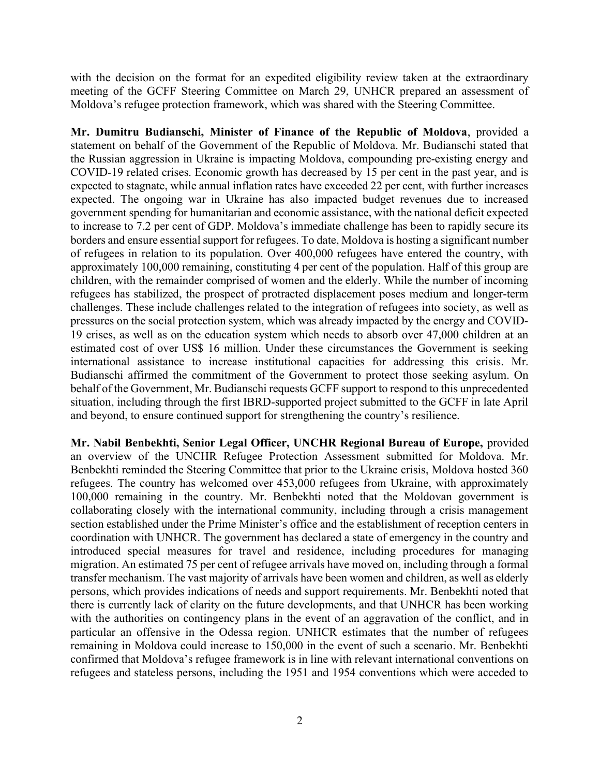with the decision on the format for an expedited eligibility review taken at the extraordinary meeting of the GCFF Steering Committee on March 29, UNHCR prepared an assessment of Moldova's refugee protection framework, which was shared with the Steering Committee.

Mr. Dumitru Budianschi, Minister of Finance of the Republic of Moldova, provided a statement on behalf of the Government of the Republic of Moldova. Mr. Budianschi stated that the Russian aggression in Ukraine is impacting Moldova, compounding pre-existing energy and COVID-19 related crises. Economic growth has decreased by 15 per cent in the past year, and is expected to stagnate, while annual inflation rates have exceeded 22 per cent, with further increases expected. The ongoing war in Ukraine has also impacted budget revenues due to increased government spending for humanitarian and economic assistance, with the national deficit expected to increase to 7.2 per cent of GDP. Moldova's immediate challenge has been to rapidly secure its borders and ensure essential support for refugees. To date, Moldova is hosting a significant number of refugees in relation to its population. Over 400,000 refugees have entered the country, with approximately 100,000 remaining, constituting 4 per cent of the population. Half of this group are children, with the remainder comprised of women and the elderly. While the number of incoming refugees has stabilized, the prospect of protracted displacement poses medium and longer-term challenges. These include challenges related to the integration of refugees into society, as well as pressures on the social protection system, which was already impacted by the energy and COVID-19 crises, as well as on the education system which needs to absorb over 47,000 children at an estimated cost of over US\$ 16 million. Under these circumstances the Government is seeking international assistance to increase institutional capacities for addressing this crisis. Mr. Budianschi affirmed the commitment of the Government to protect those seeking asylum. On behalf of the Government, Mr. Budianschi requests GCFF support to respond to this unprecedented situation, including through the first IBRD-supported project submitted to the GCFF in late April and beyond, to ensure continued support for strengthening the country's resilience.

Mr. Nabil Benbekhti, Senior Legal Officer, UNCHR Regional Bureau of Europe, provided an overview of the UNCHR Refugee Protection Assessment submitted for Moldova. Mr. Benbekhti reminded the Steering Committee that prior to the Ukraine crisis, Moldova hosted 360 refugees. The country has welcomed over 453,000 refugees from Ukraine, with approximately 100,000 remaining in the country. Mr. Benbekhti noted that the Moldovan government is collaborating closely with the international community, including through a crisis management section established under the Prime Minister's office and the establishment of reception centers in coordination with UNHCR. The government has declared a state of emergency in the country and introduced special measures for travel and residence, including procedures for managing migration. An estimated 75 per cent of refugee arrivals have moved on, including through a formal transfer mechanism. The vast majority of arrivals have been women and children, as well as elderly persons, which provides indications of needs and support requirements. Mr. Benbekhti noted that there is currently lack of clarity on the future developments, and that UNHCR has been working with the authorities on contingency plans in the event of an aggravation of the conflict, and in particular an offensive in the Odessa region. UNHCR estimates that the number of refugees remaining in Moldova could increase to 150,000 in the event of such a scenario. Mr. Benbekhti confirmed that Moldova's refugee framework is in line with relevant international conventions on refugees and stateless persons, including the 1951 and 1954 conventions which were acceded to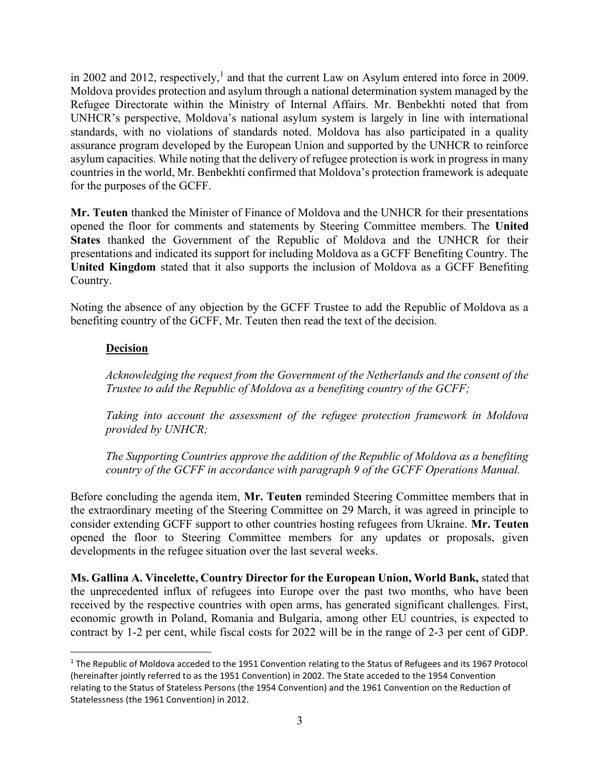in 2002 and 2012, respectively,<sup>1</sup> and that the current Law on Asylum entered into force in 2009. Moldova provides protection and asylum through a national determination system managed by the Refugee Directorate within the Ministry of Internal Affairs. Mr. Benbekhti noted that from UNHCR's perspective, Moldova's national asylum system is largely in line with international standards, with no violations of standards noted. Moldova has also participated in a quality assurance program developed by the European Union and supported by the UNHCR to reinforce asylum capacities. While noting that the delivery of refugee protection is work in progress in many countries in the world, Mr. Benbekhti confirmed that Moldova's protection framework is adequate for the purposes of the GCFF.

Mr. Teuten thanked the Minister of Finance of Moldova and the UNHCR for their presentations opened the floor for comments and statements by Steering Committee members. The United States thanked the Government of the Republic of Moldova and the UNHCR for their presentations and indicated its support for including Moldova as a GCFF Benefiting Country. The United Kingdom stated that it also supports the inclusion of Moldova as a GCFF Benefiting Country.

Noting the absence of any objection by the GCFF Trustee to add the Republic of Moldova as a benefiting country of the GCFF, Mr. Teuten then read the text of the decision.

# **Decision**

Acknowledging the request from the Government of the Netherlands and the consent of the Trustee to add the Republic of Moldova as a benefiting country of the GCFF;

Taking into account the assessment of the refugee protection framework in Moldova provided by UNHCR;

The Supporting Countries approve the addition of the Republic of Moldova as a benefiting country of the GCFF in accordance with paragraph 9 of the GCFF Operations Manual.

Before concluding the agenda item, Mr. Teuten reminded Steering Committee members that in the extraordinary meeting of the Steering Committee on 29 March, it was agreed in principle to consider extending GCFF support to other countries hosting refugees from Ukraine. Mr. Teuten opened the floor to Steering Committee members for any updates or proposals, given developments in the refugee situation over the last several weeks.

Ms. Gallina A. Vincelette, Country Director for the European Union, World Bank, stated that the unprecedented influx of refugees into Europe over the past two months, who have been received by the respective countries with open arms, has generated significant challenges. First, economic growth in Poland, Romania and Bulgaria, among other EU countries, is expected to contract by 1-2 per cent, while fiscal costs for 2022 will be in the range of 2-3 per cent of GDP.

<sup>&</sup>lt;sup>1</sup> The Republic of Moldova acceded to the 1951 Convention relating to the Status of Refugees and its 1967 Protocol (hereinafter jointly referred to as the 1951 Convention) in 2002. The State acceded to the 1954 Convention relating to the Status of Stateless Persons (the 1954 Convention) and the 1961 Convention on the Reduction of Statelessness (the 1961 Convention) in 2012.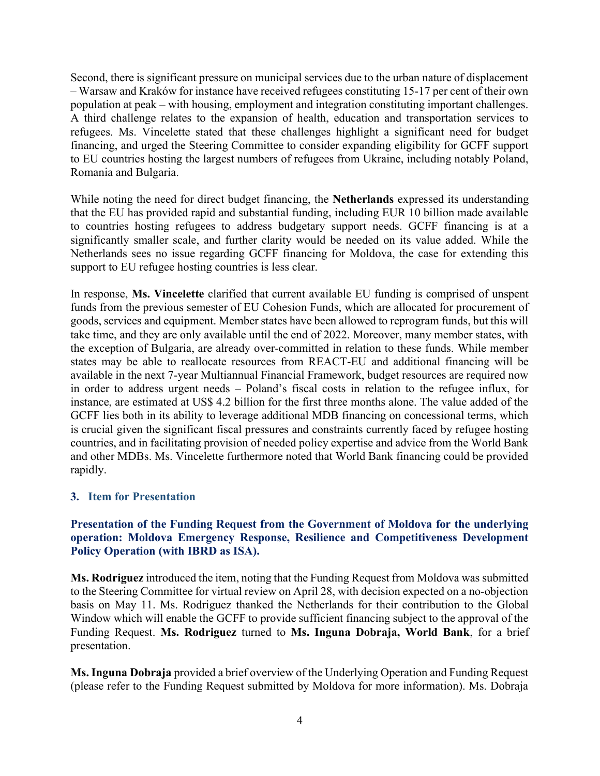Second, there is significant pressure on municipal services due to the urban nature of displacement – Warsaw and Kraków for instance have received refugees constituting 15-17 per cent of their own population at peak – with housing, employment and integration constituting important challenges. A third challenge relates to the expansion of health, education and transportation services to refugees. Ms. Vincelette stated that these challenges highlight a significant need for budget financing, and urged the Steering Committee to consider expanding eligibility for GCFF support to EU countries hosting the largest numbers of refugees from Ukraine, including notably Poland, Romania and Bulgaria.

While noting the need for direct budget financing, the Netherlands expressed its understanding that the EU has provided rapid and substantial funding, including EUR 10 billion made available to countries hosting refugees to address budgetary support needs. GCFF financing is at a significantly smaller scale, and further clarity would be needed on its value added. While the Netherlands sees no issue regarding GCFF financing for Moldova, the case for extending this support to EU refugee hosting countries is less clear.

In response, Ms. Vincelette clarified that current available EU funding is comprised of unspent funds from the previous semester of EU Cohesion Funds, which are allocated for procurement of goods, services and equipment. Member states have been allowed to reprogram funds, but this will take time, and they are only available until the end of 2022. Moreover, many member states, with the exception of Bulgaria, are already over-committed in relation to these funds. While member states may be able to reallocate resources from REACT-EU and additional financing will be available in the next 7-year Multiannual Financial Framework, budget resources are required now in order to address urgent needs – Poland's fiscal costs in relation to the refugee influx, for instance, are estimated at US\$ 4.2 billion for the first three months alone. The value added of the GCFF lies both in its ability to leverage additional MDB financing on concessional terms, which is crucial given the significant fiscal pressures and constraints currently faced by refugee hosting countries, and in facilitating provision of needed policy expertise and advice from the World Bank and other MDBs. Ms. Vincelette furthermore noted that World Bank financing could be provided rapidly.

#### 3. Item for Presentation

### Presentation of the Funding Request from the Government of Moldova for the underlying operation: Moldova Emergency Response, Resilience and Competitiveness Development Policy Operation (with IBRD as ISA).

Ms. Rodriguez introduced the item, noting that the Funding Request from Moldova was submitted to the Steering Committee for virtual review on April 28, with decision expected on a no-objection basis on May 11. Ms. Rodriguez thanked the Netherlands for their contribution to the Global Window which will enable the GCFF to provide sufficient financing subject to the approval of the Funding Request. Ms. Rodriguez turned to Ms. Inguna Dobraja, World Bank, for a brief presentation.

Ms. Inguna Dobraja provided a brief overview of the Underlying Operation and Funding Request (please refer to the Funding Request submitted by Moldova for more information). Ms. Dobraja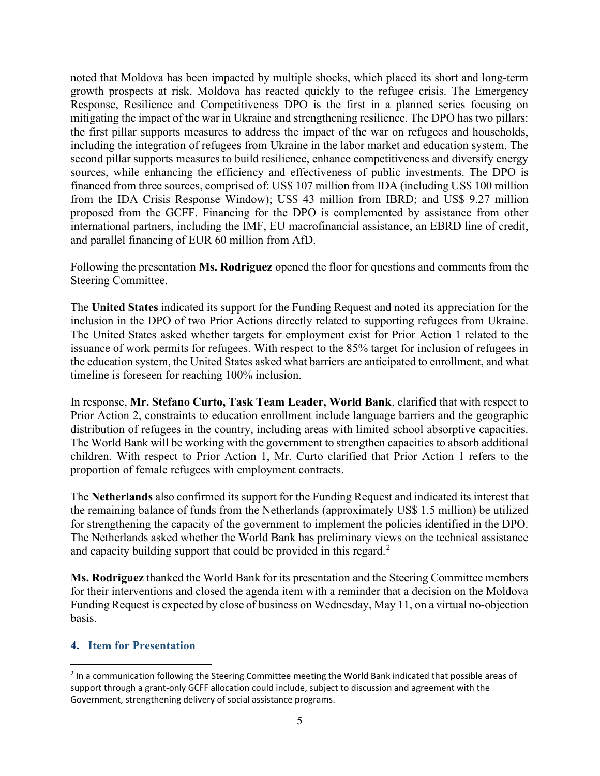noted that Moldova has been impacted by multiple shocks, which placed its short and long-term growth prospects at risk. Moldova has reacted quickly to the refugee crisis. The Emergency Response, Resilience and Competitiveness DPO is the first in a planned series focusing on mitigating the impact of the war in Ukraine and strengthening resilience. The DPO has two pillars: the first pillar supports measures to address the impact of the war on refugees and households, including the integration of refugees from Ukraine in the labor market and education system. The second pillar supports measures to build resilience, enhance competitiveness and diversify energy sources, while enhancing the efficiency and effectiveness of public investments. The DPO is financed from three sources, comprised of: US\$ 107 million from IDA (including US\$ 100 million from the IDA Crisis Response Window); US\$ 43 million from IBRD; and US\$ 9.27 million proposed from the GCFF. Financing for the DPO is complemented by assistance from other international partners, including the IMF, EU macrofinancial assistance, an EBRD line of credit, and parallel financing of EUR 60 million from AfD.

Following the presentation **Ms. Rodriguez** opened the floor for questions and comments from the Steering Committee.

The United States indicated its support for the Funding Request and noted its appreciation for the inclusion in the DPO of two Prior Actions directly related to supporting refugees from Ukraine. The United States asked whether targets for employment exist for Prior Action 1 related to the issuance of work permits for refugees. With respect to the 85% target for inclusion of refugees in the education system, the United States asked what barriers are anticipated to enrollment, and what timeline is foreseen for reaching 100% inclusion.

In response, Mr. Stefano Curto, Task Team Leader, World Bank, clarified that with respect to Prior Action 2, constraints to education enrollment include language barriers and the geographic distribution of refugees in the country, including areas with limited school absorptive capacities. The World Bank will be working with the government to strengthen capacities to absorb additional children. With respect to Prior Action 1, Mr. Curto clarified that Prior Action 1 refers to the proportion of female refugees with employment contracts.

The Netherlands also confirmed its support for the Funding Request and indicated its interest that the remaining balance of funds from the Netherlands (approximately US\$ 1.5 million) be utilized for strengthening the capacity of the government to implement the policies identified in the DPO. The Netherlands asked whether the World Bank has preliminary views on the technical assistance and capacity building support that could be provided in this regard.<sup>2</sup>

Ms. Rodriguez thanked the World Bank for its presentation and the Steering Committee members for their interventions and closed the agenda item with a reminder that a decision on the Moldova Funding Request is expected by close of business on Wednesday, May 11, on a virtual no-objection basis.

#### 4. Item for Presentation

<sup>&</sup>lt;sup>2</sup> In a communication following the Steering Committee meeting the World Bank indicated that possible areas of support through a grant-only GCFF allocation could include, subject to discussion and agreement with the Government, strengthening delivery of social assistance programs.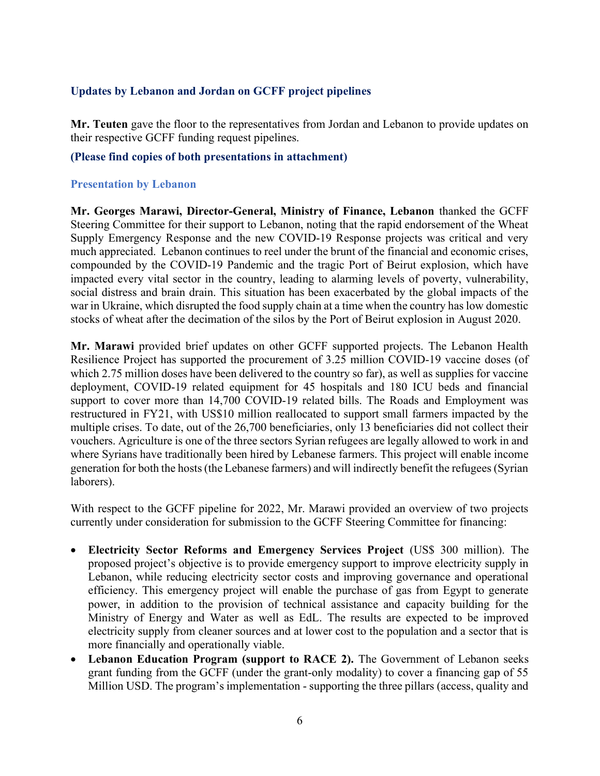### Updates by Lebanon and Jordan on GCFF project pipelines

Mr. Teuten gave the floor to the representatives from Jordan and Lebanon to provide updates on their respective GCFF funding request pipelines.

#### (Please find copies of both presentations in attachment)

#### Presentation by Lebanon

Mr. Georges Marawi, Director-General, Ministry of Finance, Lebanon thanked the GCFF Steering Committee for their support to Lebanon, noting that the rapid endorsement of the Wheat Supply Emergency Response and the new COVID-19 Response projects was critical and very much appreciated. Lebanon continues to reel under the brunt of the financial and economic crises, compounded by the COVID-19 Pandemic and the tragic Port of Beirut explosion, which have impacted every vital sector in the country, leading to alarming levels of poverty, vulnerability, social distress and brain drain. This situation has been exacerbated by the global impacts of the war in Ukraine, which disrupted the food supply chain at a time when the country has low domestic stocks of wheat after the decimation of the silos by the Port of Beirut explosion in August 2020.

Mr. Marawi provided brief updates on other GCFF supported projects. The Lebanon Health Resilience Project has supported the procurement of 3.25 million COVID-19 vaccine doses (of which 2.75 million doses have been delivered to the country so far), as well as supplies for vaccine deployment, COVID-19 related equipment for 45 hospitals and 180 ICU beds and financial support to cover more than 14,700 COVID-19 related bills. The Roads and Employment was restructured in FY21, with US\$10 million reallocated to support small farmers impacted by the multiple crises. To date, out of the 26,700 beneficiaries, only 13 beneficiaries did not collect their vouchers. Agriculture is one of the three sectors Syrian refugees are legally allowed to work in and where Syrians have traditionally been hired by Lebanese farmers. This project will enable income generation for both the hosts (the Lebanese farmers) and will indirectly benefit the refugees (Syrian laborers).

With respect to the GCFF pipeline for 2022, Mr. Marawi provided an overview of two projects currently under consideration for submission to the GCFF Steering Committee for financing:

- Electricity Sector Reforms and Emergency Services Project (US\$ 300 million). The proposed project's objective is to provide emergency support to improve electricity supply in Lebanon, while reducing electricity sector costs and improving governance and operational efficiency. This emergency project will enable the purchase of gas from Egypt to generate power, in addition to the provision of technical assistance and capacity building for the Ministry of Energy and Water as well as EdL. The results are expected to be improved electricity supply from cleaner sources and at lower cost to the population and a sector that is more financially and operationally viable.
- Lebanon Education Program (support to RACE 2). The Government of Lebanon seeks grant funding from the GCFF (under the grant-only modality) to cover a financing gap of 55 Million USD. The program's implementation - supporting the three pillars (access, quality and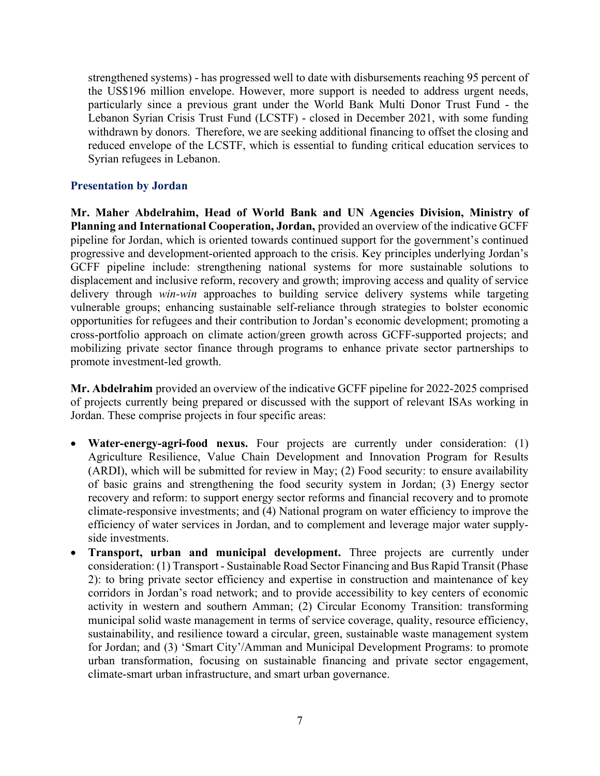strengthened systems) - has progressed well to date with disbursements reaching 95 percent of the US\$196 million envelope. However, more support is needed to address urgent needs, particularly since a previous grant under the World Bank Multi Donor Trust Fund - the Lebanon Syrian Crisis Trust Fund (LCSTF) - closed in December 2021, with some funding withdrawn by donors. Therefore, we are seeking additional financing to offset the closing and reduced envelope of the LCSTF, which is essential to funding critical education services to Syrian refugees in Lebanon.

### Presentation by Jordan

Mr. Maher Abdelrahim, Head of World Bank and UN Agencies Division, Ministry of Planning and International Cooperation, Jordan, provided an overview of the indicative GCFF pipeline for Jordan, which is oriented towards continued support for the government's continued progressive and development-oriented approach to the crisis. Key principles underlying Jordan's GCFF pipeline include: strengthening national systems for more sustainable solutions to displacement and inclusive reform, recovery and growth; improving access and quality of service delivery through win-win approaches to building service delivery systems while targeting vulnerable groups; enhancing sustainable self-reliance through strategies to bolster economic opportunities for refugees and their contribution to Jordan's economic development; promoting a cross-portfolio approach on climate action/green growth across GCFF-supported projects; and mobilizing private sector finance through programs to enhance private sector partnerships to promote investment-led growth.

Mr. Abdelrahim provided an overview of the indicative GCFF pipeline for 2022-2025 comprised of projects currently being prepared or discussed with the support of relevant ISAs working in Jordan. These comprise projects in four specific areas:

- Water-energy-agri-food nexus. Four projects are currently under consideration: (1) Agriculture Resilience, Value Chain Development and Innovation Program for Results (ARDI), which will be submitted for review in May; (2) Food security: to ensure availability of basic grains and strengthening the food security system in Jordan; (3) Energy sector recovery and reform: to support energy sector reforms and financial recovery and to promote climate-responsive investments; and (4) National program on water efficiency to improve the efficiency of water services in Jordan, and to complement and leverage major water supplyside investments.
- Transport, urban and municipal development. Three projects are currently under consideration: (1) Transport - Sustainable Road Sector Financing and Bus Rapid Transit (Phase 2): to bring private sector efficiency and expertise in construction and maintenance of key corridors in Jordan's road network; and to provide accessibility to key centers of economic activity in western and southern Amman; (2) Circular Economy Transition: transforming municipal solid waste management in terms of service coverage, quality, resource efficiency, sustainability, and resilience toward a circular, green, sustainable waste management system for Jordan; and (3) 'Smart City'/Amman and Municipal Development Programs: to promote urban transformation, focusing on sustainable financing and private sector engagement, climate-smart urban infrastructure, and smart urban governance.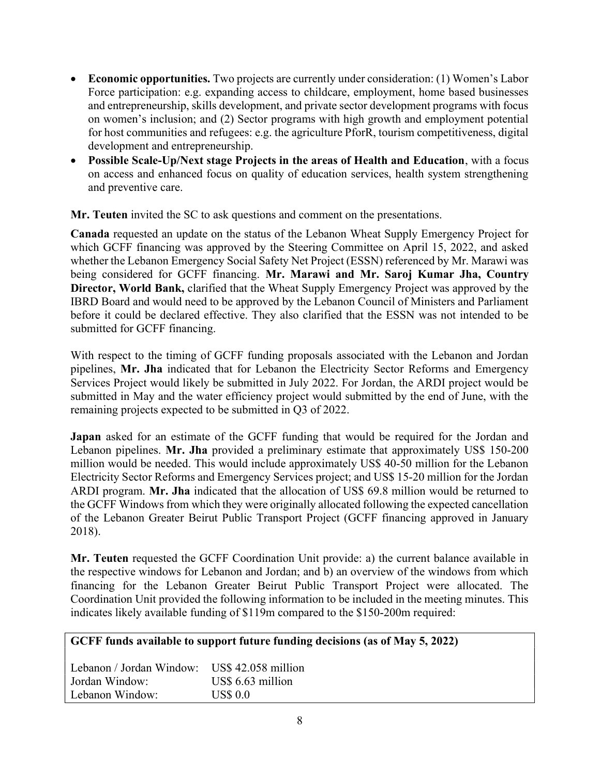- Economic opportunities. Two projects are currently under consideration: (1) Women's Labor Force participation: e.g. expanding access to childcare, employment, home based businesses and entrepreneurship, skills development, and private sector development programs with focus on women's inclusion; and (2) Sector programs with high growth and employment potential for host communities and refugees: e.g. the agriculture PforR, tourism competitiveness, digital development and entrepreneurship.
- Possible Scale-Up/Next stage Projects in the areas of Health and Education, with a focus on access and enhanced focus on quality of education services, health system strengthening and preventive care.

Mr. Teuten invited the SC to ask questions and comment on the presentations.

Canada requested an update on the status of the Lebanon Wheat Supply Emergency Project for which GCFF financing was approved by the Steering Committee on April 15, 2022, and asked whether the Lebanon Emergency Social Safety Net Project (ESSN) referenced by Mr. Marawi was being considered for GCFF financing. Mr. Marawi and Mr. Saroj Kumar Jha, Country Director, World Bank, clarified that the Wheat Supply Emergency Project was approved by the IBRD Board and would need to be approved by the Lebanon Council of Ministers and Parliament before it could be declared effective. They also clarified that the ESSN was not intended to be submitted for GCFF financing.

With respect to the timing of GCFF funding proposals associated with the Lebanon and Jordan pipelines, Mr. Jha indicated that for Lebanon the Electricity Sector Reforms and Emergency Services Project would likely be submitted in July 2022. For Jordan, the ARDI project would be submitted in May and the water efficiency project would submitted by the end of June, with the remaining projects expected to be submitted in Q3 of 2022.

Japan asked for an estimate of the GCFF funding that would be required for the Jordan and Lebanon pipelines. Mr. Jha provided a preliminary estimate that approximately US\$ 150-200 million would be needed. This would include approximately US\$ 40-50 million for the Lebanon Electricity Sector Reforms and Emergency Services project; and US\$ 15-20 million for the Jordan ARDI program. Mr. Jha indicated that the allocation of US\$ 69.8 million would be returned to the GCFF Windows from which they were originally allocated following the expected cancellation of the Lebanon Greater Beirut Public Transport Project (GCFF financing approved in January 2018).

Mr. Teuten requested the GCFF Coordination Unit provide: a) the current balance available in the respective windows for Lebanon and Jordan; and b) an overview of the windows from which financing for the Lebanon Greater Beirut Public Transport Project were allocated. The Coordination Unit provided the following information to be included in the meeting minutes. This indicates likely available funding of \$119m compared to the \$150-200m required:

# GCFF funds available to support future funding decisions (as of May 5, 2022)

Lebanon / Jordan Window: US\$ 42.058 million Jordan Window: US\$ 6.63 million Lebanon Window: US\$ 0.0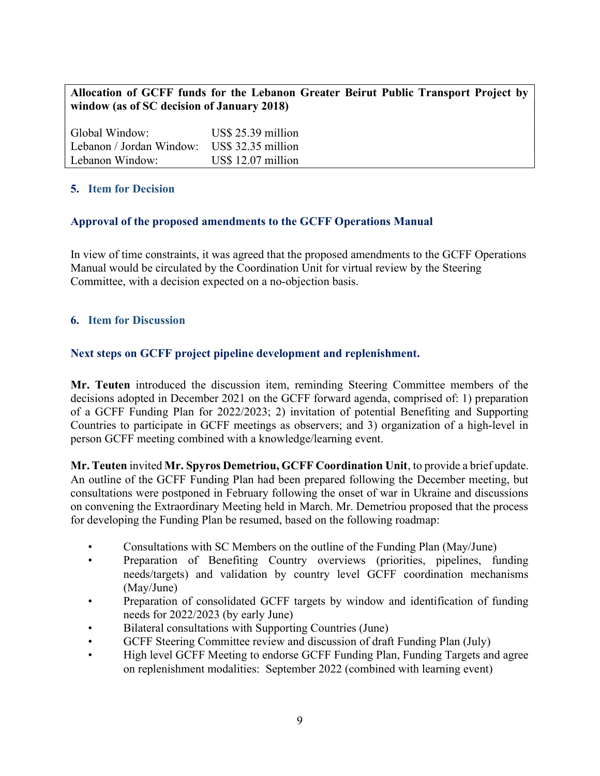# Allocation of GCFF funds for the Lebanon Greater Beirut Public Transport Project by window (as of SC decision of January 2018)

Global Window: US\$ 25.39 million Lebanon / Jordan Window: US\$ 32.35 million Lebanon Window: US\$ 12.07 million

# 5. Item for Decision

### Approval of the proposed amendments to the GCFF Operations Manual

In view of time constraints, it was agreed that the proposed amendments to the GCFF Operations Manual would be circulated by the Coordination Unit for virtual review by the Steering Committee, with a decision expected on a no-objection basis.

### 6. Item for Discussion

### Next steps on GCFF project pipeline development and replenishment.

Mr. Teuten introduced the discussion item, reminding Steering Committee members of the decisions adopted in December 2021 on the GCFF forward agenda, comprised of: 1) preparation of a GCFF Funding Plan for 2022/2023; 2) invitation of potential Benefiting and Supporting Countries to participate in GCFF meetings as observers; and 3) organization of a high-level in person GCFF meeting combined with a knowledge/learning event.

Mr. Teuten invited Mr. Spyros Demetriou, GCFF Coordination Unit, to provide a brief update. An outline of the GCFF Funding Plan had been prepared following the December meeting, but consultations were postponed in February following the onset of war in Ukraine and discussions on convening the Extraordinary Meeting held in March. Mr. Demetriou proposed that the process for developing the Funding Plan be resumed, based on the following roadmap:

- Consultations with SC Members on the outline of the Funding Plan (May/June)
- Preparation of Benefiting Country overviews (priorities, pipelines, funding needs/targets) and validation by country level GCFF coordination mechanisms (May/June)
- Preparation of consolidated GCFF targets by window and identification of funding needs for 2022/2023 (by early June)
- Bilateral consultations with Supporting Countries (June)
- GCFF Steering Committee review and discussion of draft Funding Plan (July)
- High level GCFF Meeting to endorse GCFF Funding Plan, Funding Targets and agree on replenishment modalities: September 2022 (combined with learning event)